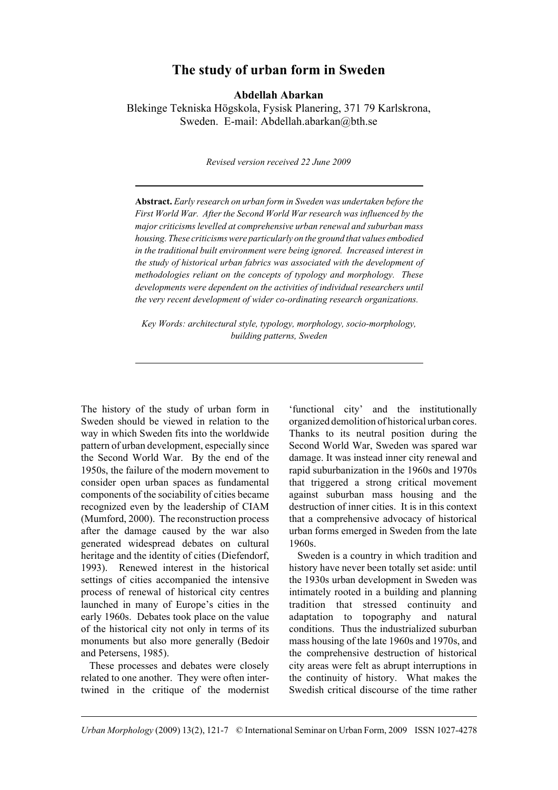# **The study of urban form in Sweden**

**Abdellah Abarkan**

Blekinge Tekniska Högskola, Fysisk Planering, 371 79 Karlskrona, Sweden. E-mail: Abdellah.abarkan@bth.se

*Revised version received 22 June 2009*

**Abstract.** *Early research on urban form in Sweden was undertaken before the First World War. After the Second World War research was influenced by the major criticisms levelled at comprehensive urban renewal and suburban mass housing. These criticisms were particularly on the ground that values embodied in the traditional built environment were being ignored. Increased interest in the study of historical urban fabrics was associated with the development of methodologies reliant on the concepts of typology and morphology. These developments were dependent on the activities of individual researchers until the very recent development of wider co-ordinating research organizations.* 

*Key Words: architectural style, typology, morphology, socio-morphology, building patterns, Sweden*

The history of the study of urban form in Sweden should be viewed in relation to the way in which Sweden fits into the worldwide pattern of urban development, especially since the Second World War. By the end of the 1950s, the failure of the modern movement to consider open urban spaces as fundamental components of the sociability of cities became recognized even by the leadership of CIAM (Mumford, 2000). The reconstruction process after the damage caused by the war also generated widespread debates on cultural heritage and the identity of cities (Diefendorf, 1993). Renewed interest in the historical settings of cities accompanied the intensive process of renewal of historical city centres launched in many of Europe's cities in the early 1960s. Debates took place on the value of the historical city not only in terms of its monuments but also more generally (Bedoir and Petersens, 1985).

These processes and debates were closely related to one another. They were often intertwined in the critique of the modernist

'functional city' and the institutionally organized demolition of historical urban cores. Thanks to its neutral position during the Second World War, Sweden was spared war damage. It was instead inner city renewal and rapid suburbanization in the 1960s and 1970s that triggered a strong critical movement against suburban mass housing and the destruction of inner cities. It is in this context that a comprehensive advocacy of historical urban forms emerged in Sweden from the late 1960s.

Sweden is a country in which tradition and history have never been totally set aside: until the 1930s urban development in Sweden was intimately rooted in a building and planning tradition that stressed continuity and adaptation to topography and natural conditions. Thus the industrialized suburban mass housing of the late 1960s and 1970s, and the comprehensive destruction of historical city areas were felt as abrupt interruptions in the continuity of history. What makes the Swedish critical discourse of the time rather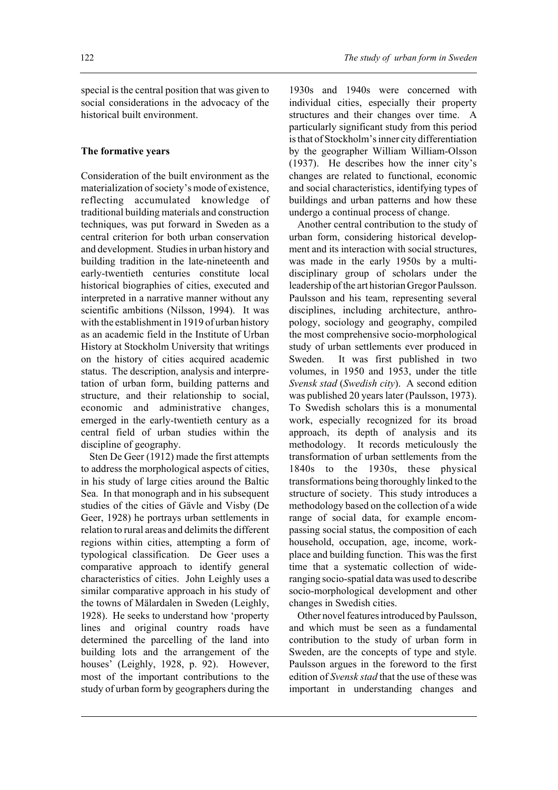### **The formative years**

Consideration of the built environment as the materialization of society's mode of existence, reflecting accumulated knowledge of traditional building materials and construction techniques, was put forward in Sweden as a central criterion for both urban conservation and development. Studies in urban history and building tradition in the late-nineteenth and early-twentieth centuries constitute local historical biographies of cities, executed and interpreted in a narrative manner without any scientific ambitions (Nilsson, 1994). It was with the establishment in 1919 of urban history as an academic field in the Institute of Urban History at Stockholm University that writings on the history of cities acquired academic status. The description, analysis and interpretation of urban form, building patterns and structure, and their relationship to social, economic and administrative changes, emerged in the early-twentieth century as a central field of urban studies within the discipline of geography.

Sten De Geer (1912) made the first attempts to address the morphological aspects of cities, in his study of large cities around the Baltic Sea. In that monograph and in his subsequent studies of the cities of Gävle and Visby (De Geer, 1928) he portrays urban settlements in relation to rural areas and delimits the different regions within cities, attempting a form of typological classification. De Geer uses a comparative approach to identify general characteristics of cities. John Leighly uses a similar comparative approach in his study of the towns of Mälardalen in Sweden (Leighly, 1928). He seeks to understand how 'property lines and original country roads have determined the parcelling of the land into building lots and the arrangement of the houses' (Leighly, 1928, p. 92). However, most of the important contributions to the study of urban form by geographers during the

1930s and 1940s were concerned with individual cities, especially their property structures and their changes over time. A particularly significant study from this period is that of Stockholm's inner city differentiation by the geographer William William-Olsson (1937). He describes how the inner city's changes are related to functional, economic and social characteristics, identifying types of buildings and urban patterns and how these undergo a continual process of change.

Another central contribution to the study of urban form, considering historical development and its interaction with social structures, was made in the early 1950s by a multidisciplinary group of scholars under the leadership of the art historian Gregor Paulsson. Paulsson and his team, representing several disciplines, including architecture, anthropology, sociology and geography, compiled the most comprehensive socio-morphological study of urban settlements ever produced in Sweden. It was first published in two volumes, in 1950 and 1953, under the title *Svensk stad* (*Swedish city*). A second edition was published 20 years later (Paulsson, 1973). To Swedish scholars this is a monumental work, especially recognized for its broad approach, its depth of analysis and its methodology. It records meticulously the transformation of urban settlements from the 1840s to the 1930s these physical transformations being thoroughly linked to the structure of society. This study introduces a methodology based on the collection of a wide range of social data, for example encompassing social status, the composition of each household, occupation, age, income, workplace and building function. This was the first time that a systematic collection of wideranging socio-spatial data was used to describe socio-morphological development and other changes in Swedish cities.

Other novel features introduced by Paulsson, and which must be seen as a fundamental contribution to the study of urban form in Sweden, are the concepts of type and style. Paulsson argues in the foreword to the first edition of *Svensk stad* that the use of these was important in understanding changes and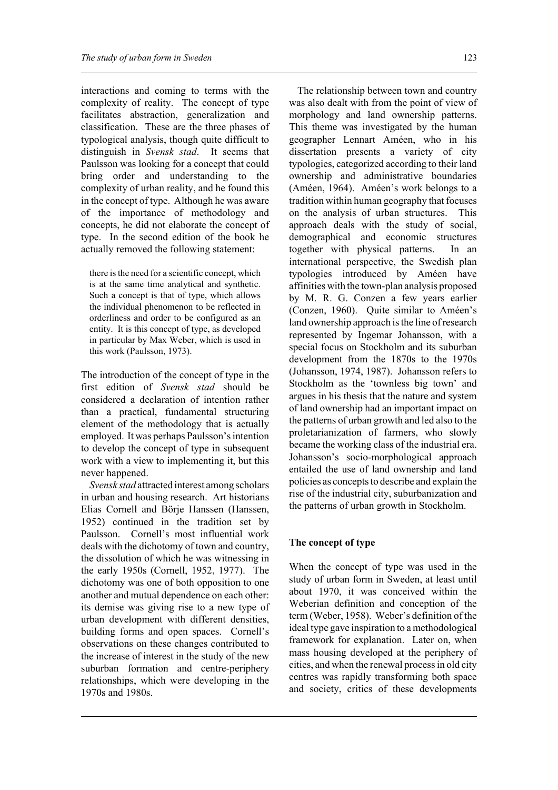interactions and coming to terms with the complexity of reality. The concept of type facilitates abstraction, generalization and classification. These are the three phases of typological analysis, though quite difficult to distinguish in *Svensk stad*. It seems that Paulsson was looking for a concept that could bring order and understanding to the complexity of urban reality, and he found this in the concept of type. Although he was aware of the importance of methodology and concepts, he did not elaborate the concept of type. In the second edition of the book he actually removed the following statement:

there is the need for a scientific concept, which is at the same time analytical and synthetic. Such a concept is that of type, which allows the individual phenomenon to be reflected in orderliness and order to be configured as an entity. It is this concept of type, as developed in particular by Max Weber, which is used in this work (Paulsson, 1973).

The introduction of the concept of type in the first edition of *Svensk stad* should be considered a declaration of intention rather than a practical, fundamental structuring element of the methodology that is actually employed. It was perhaps Paulsson's intention to develop the concept of type in subsequent work with a view to implementing it, but this never happened.

*Svensk stad* attracted interest among scholars in urban and housing research. Art historians Elias Cornell and Börje Hanssen (Hanssen, 1952) continued in the tradition set by Paulsson. Cornell's most influential work deals with the dichotomy of town and country, the dissolution of which he was witnessing in the early 1950s (Cornell, 1952, 1977). The dichotomy was one of both opposition to one another and mutual dependence on each other: its demise was giving rise to a new type of urban development with different densities, building forms and open spaces. Cornell's observations on these changes contributed to the increase of interest in the study of the new suburban formation and centre-periphery relationships, which were developing in the 1970s and 1980s.

The relationship between town and country was also dealt with from the point of view of morphology and land ownership patterns. This theme was investigated by the human geographer Lennart Améen, who in his dissertation presents a variety of city typologies, categorized according to their land ownership and administrative boundaries (Améen, 1964). Améen's work belongs to a tradition within human geography that focuses on the analysis of urban structures. This approach deals with the study of social, demographical and economic structures together with physical patterns. In an international perspective, the Swedish plan typologies introduced by Améen have affinities with the town-plan analysis proposed by M. R. G. Conzen a few years earlier (Conzen, 1960). Quite similar to Améen's land ownership approach is the line of research represented by Ingemar Johansson, with a special focus on Stockholm and its suburban development from the 1870s to the 1970s (Johansson, 1974, 1987). Johansson refers to Stockholm as the 'townless big town' and argues in his thesis that the nature and system of land ownership had an important impact on the patterns of urban growth and led also to the proletarianization of farmers, who slowly became the working class of the industrial era. Johansson's socio-morphological approach entailed the use of land ownership and land policies as concepts to describe and explain the rise of the industrial city, suburbanization and the patterns of urban growth in Stockholm.

### **The concept of type**

When the concept of type was used in the study of urban form in Sweden, at least until about 1970, it was conceived within the Weberian definition and conception of the term (Weber, 1958). Weber's definition of the ideal type gave inspiration to a methodological framework for explanation. Later on, when mass housing developed at the periphery of cities, and when the renewal process in old city centres was rapidly transforming both space and society, critics of these developments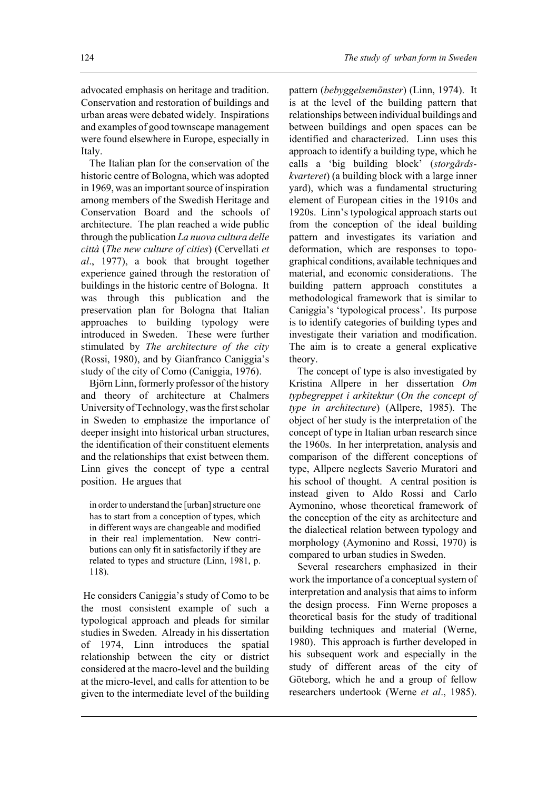advocated emphasis on heritage and tradition. Conservation and restoration of buildings and urban areas were debated widely. Inspirations and examples of good townscape management were found elsewhere in Europe, especially in Italy.

The Italian plan for the conservation of the historic centre of Bologna, which was adopted in 1969, was an important source of inspiration among members of the Swedish Heritage and Conservation Board and the schools of architecture. The plan reached a wide public through the publication *La nuova cultura delle città* (*The new culture of cities*) (Cervellati *et al*., 1977), a book that brought together experience gained through the restoration of buildings in the historic centre of Bologna. It was through this publication and the preservation plan for Bologna that Italian approaches to building typology were introduced in Sweden. These were further stimulated by *The architecture of the city* (Rossi, 1980), and by Gianfranco Caniggia's study of the city of Como (Caniggia, 1976).

Björn Linn, formerly professor of the history and theory of architecture at Chalmers University of Technology, was the first scholar in Sweden to emphasize the importance of deeper insight into historical urban structures, the identification of their constituent elements and the relationships that exist between them. Linn gives the concept of type a central position. He argues that

in order to understand the [urban] structure one has to start from a conception of types, which in different ways are changeable and modified in their real implementation. New contributions can only fit in satisfactorily if they are related to types and structure (Linn, 1981, p. 118).

 He considers Caniggia's study of Como to be the most consistent example of such a typological approach and pleads for similar studies in Sweden. Already in his dissertation of 1974, Linn introduces the spatial relationship between the city or district considered at the macro-level and the building at the micro-level, and calls for attention to be given to the intermediate level of the building

pattern (*bebyggelsemönster*) (Linn, 1974). It is at the level of the building pattern that relationships between individual buildings and between buildings and open spaces can be identified and characterized. Linn uses this approach to identify a building type, which he calls a 'big building block' (*storgårdskvarteret*) (a building block with a large inner yard), which was a fundamental structuring element of European cities in the 1910s and 1920s. Linn's typological approach starts out from the conception of the ideal building pattern and investigates its variation and deformation, which are responses to topographical conditions, available techniques and material, and economic considerations. The building pattern approach constitutes a methodological framework that is similar to Caniggia's 'typological process'. Its purpose is to identify categories of building types and investigate their variation and modification. The aim is to create a general explicative theory.

The concept of type is also investigated by Kristina Allpere in her dissertation *Om typbegreppet i arkitektur* (*On the concept of type in architecture*) (Allpere, 1985). The object of her study is the interpretation of the concept of type in Italian urban research since the 1960s. In her interpretation, analysis and comparison of the different conceptions of type, Allpere neglects Saverio Muratori and his school of thought. A central position is instead given to Aldo Rossi and Carlo Aymonino, whose theoretical framework of the conception of the city as architecture and the dialectical relation between typology and morphology (Aymonino and Rossi, 1970) is compared to urban studies in Sweden.

Several researchers emphasized in their work the importance of a conceptual system of interpretation and analysis that aims to inform the design process. Finn Werne proposes a theoretical basis for the study of traditional building techniques and material (Werne, 1980). This approach is further developed in his subsequent work and especially in the study of different areas of the city of Göteborg, which he and a group of fellow researchers undertook (Werne *et al*., 1985).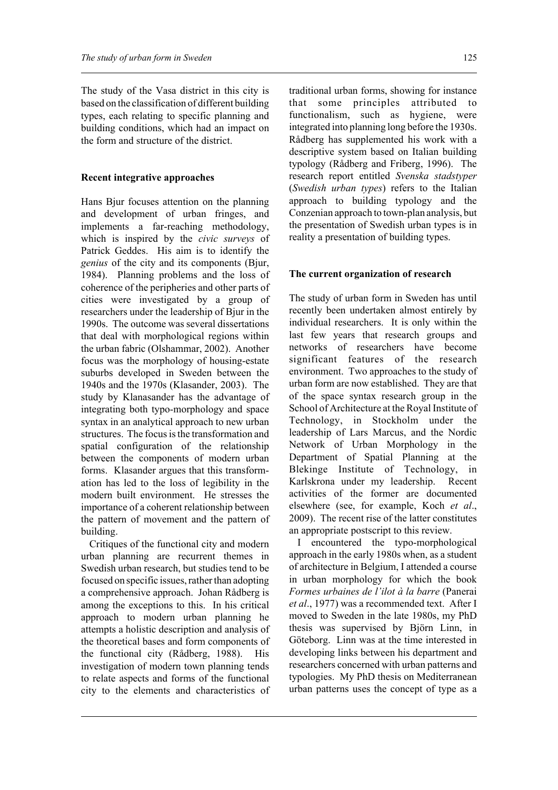The study of the Vasa district in this city is based on the classification of different building types, each relating to specific planning and building conditions, which had an impact on the form and structure of the district.

## **Recent integrative approaches**

Hans Bjur focuses attention on the planning and development of urban fringes, and implements a far-reaching methodology, which is inspired by the *civic surveys* of Patrick Geddes. His aim is to identify the *genius* of the city and its components (Bjur, 1984). Planning problems and the loss of coherence of the peripheries and other parts of cities were investigated by a group of researchers under the leadership of Bjur in the 1990s. The outcome was several dissertations that deal with morphological regions within the urban fabric (Olshammar, 2002). Another focus was the morphology of housing-estate suburbs developed in Sweden between the 1940s and the 1970s (Klasander, 2003). The study by Klanasander has the advantage of integrating both typo-morphology and space syntax in an analytical approach to new urban structures. The focus is the transformation and spatial configuration of the relationship between the components of modern urban forms. Klasander argues that this transformation has led to the loss of legibility in the modern built environment. He stresses the importance of a coherent relationship between the pattern of movement and the pattern of building.

Critiques of the functional city and modern urban planning are recurrent themes in Swedish urban research, but studies tend to be focused on specific issues, rather than adopting a comprehensive approach. Johan Rådberg is among the exceptions to this. In his critical approach to modern urban planning he attempts a holistic description and analysis of the theoretical bases and form components of the functional city (Rådberg, 1988). His investigation of modern town planning tends to relate aspects and forms of the functional city to the elements and characteristics of traditional urban forms, showing for instance that some principles attributed to functionalism, such as hygiene, were integrated into planning long before the 1930s. Rådberg has supplemented his work with a descriptive system based on Italian building typology (Rådberg and Friberg, 1996). The research report entitled *Svenska stadstyper* (*Swedish urban types*) refers to the Italian approach to building typology and the Conzenian approach to town-plan analysis, but the presentation of Swedish urban types is in reality a presentation of building types.

## **The current organization of research**

The study of urban form in Sweden has until recently been undertaken almost entirely by individual researchers. It is only within the last few years that research groups and networks of researchers have become significant features of the research environment. Two approaches to the study of urban form are now established. They are that of the space syntax research group in the School of Architecture at the Royal Institute of Technology, in Stockholm under the leadership of Lars Marcus, and the Nordic Network of Urban Morphology in the Department of Spatial Planning at the Blekinge Institute of Technology, in Karlskrona under my leadership. Recent activities of the former are documented elsewhere (see, for example, Koch *et al*., 2009). The recent rise of the latter constitutes an appropriate postscript to this review.

I encountered the typo-morphological approach in the early 1980s when, as a student of architecture in Belgium, I attended a course in urban morphology for which the book *Formes urbaines de l'ilot à la barre* (Panerai *et al*., 1977) was a recommended text. After I moved to Sweden in the late 1980s, my PhD thesis was supervised by Björn Linn, in Göteborg. Linn was at the time interested in developing links between his department and researchers concerned with urban patterns and typologies. My PhD thesis on Mediterranean urban patterns uses the concept of type as a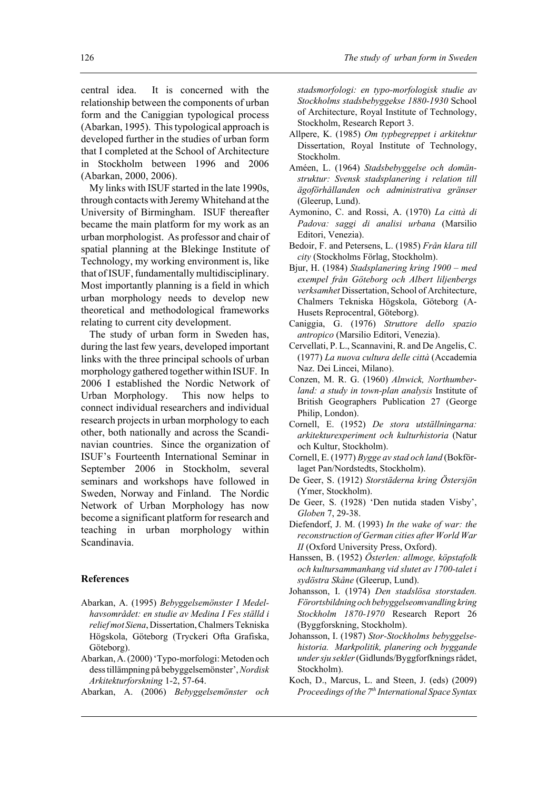central idea. It is concerned with the relationship between the components of urban form and the Caniggian typological process (Abarkan, 1995). This typological approach is developed further in the studies of urban form that I completed at the School of Architecture in Stockholm between 1996 and 2006 (Abarkan, 2000, 2006).

My links with ISUF started in the late 1990s, through contacts with Jeremy Whitehand at the University of Birmingham. ISUF thereafter became the main platform for my work as an urban morphologist. As professor and chair of spatial planning at the Blekinge Institute of Technology, my working environment is, like that of ISUF, fundamentally multidisciplinary. Most importantly planning is a field in which urban morphology needs to develop new theoretical and methodological frameworks relating to current city development.

The study of urban form in Sweden has, during the last few years, developed important links with the three principal schools of urban morphology gathered together within ISUF. In 2006 I established the Nordic Network of Urban Morphology. This now helps to connect individual researchers and individual research projects in urban morphology to each other, both nationally and across the Scandinavian countries. Since the organization of ISUF's Fourteenth International Seminar in September 2006 in Stockholm, several seminars and workshops have followed in Sweden, Norway and Finland. The Nordic Network of Urban Morphology has now become a significant platform for research and teaching in urban morphology within Scandinavia.

#### **References**

- Abarkan, A. (1995) *Bebyggelsemönster I Medelhavsområdet: en studie av Medina I Fes ställd i relief mot Siena*, Dissertation, Chalmers Tekniska Högskola, Göteborg (Tryckeri Ofta Grafiska, Göteborg).
- Abarkan, A. (2000) 'Typo-morfologi: Metoden och dess tillämpning på bebyggelsemönster', *Nordisk Arkitekturforskning* 1-2, 57-64.
- Abarkan, A. (2006) *Bebyggelsemönster och*

*stadsmorfologi: en typo-morfologisk studie av Stockholms stadsbebyggekse 1880-1930* School of Architecture, Royal Institute of Technology, Stockholm, Research Report 3.

- Allpere, K. (1985) *Om typbegreppet i arkitektur* Dissertation, Royal Institute of Technology, Stockholm.
- Améen, L. (1964) *Stadsbebyggelse och domänstruktur: Svensk stadsplanering i relation till ägoförhållanden och administrativa gränser* (Gleerup, Lund).
- Aymonino, C. and Rossi, A. (1970) *La città di Padova: saggi di analisi urbana* (Marsilio Editori, Venezia).
- Bedoir, F. and Petersens, L. (1985) *Från klara till city* (Stockholms Förlag, Stockholm).
- Bjur, H. (1984) *Stadsplanering kring 1900 med exempel från Göteborg och Albert liljenbergs verksamhet* Dissertation, School of Architecture, Chalmers Tekniska Högskola, Göteborg (A-Husets Reprocentral, Göteborg).
- Caniggia, G. (1976) *Struttore dello spazio antropico* (Marsilio Editori, Venezia).
- Cervellati, P. L., Scannavini, R. and De Angelis, C. (1977) *La nuova cultura delle città* (Accademia Naz. Dei Lincei, Milano).
- Conzen, M. R. G. (1960) *Alnwick, Northumberland: a study in town-plan analysis* Institute of British Geographers Publication 27 (George Philip, London).
- Cornell, E. (1952) *De stora utställningarna: arkitekturexperiment och kulturhistoria* (Natur och Kultur, Stockholm).
- Cornell, E. (1977) *Bygge av stad och land* (Bokförlaget Pan/Nordstedts, Stockholm).
- De Geer, S. (1912) *Storstäderna kring Östersjön* (Ymer, Stockholm).
- De Geer, S. (1928) 'Den nutida staden Visby', *Globen* 7, 29-38.
- Diefendorf, J. M. (1993) *In the wake of war: the reconstruction of German cities after World War II* (Oxford University Press, Oxford).
- Hanssen, B. (1952) *Österlen: allmoge, köpstafolk och kultursammanhang vid slutet av 1700-talet i sydöstra Skåne* (Gleerup, Lund).
- Johansson, I. (1974) *Den stadslösa storstaden. Förortsbildning och bebyggelseomvandling kring Stockholm 1870-1970* Research Report 26 (Byggforskning, Stockholm).
- Johansson, I. (1987) *Stor-Stockholms bebyggelsehistoria. Markpolitik, planering och byggande under sju sekler* (Gidlunds/Byggforfknings rådet, Stockholm).
- Koch, D., Marcus, L. and Steen, J. (eds) (2009) *Proceedings of the 7th International Space Syntax*